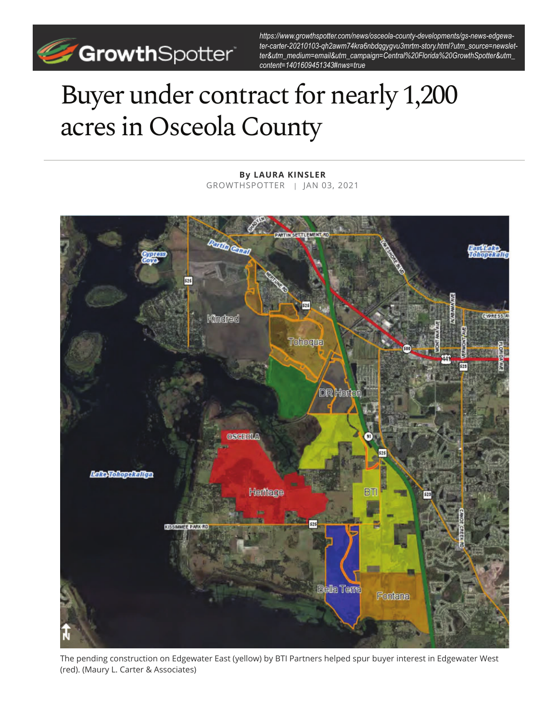

*https://www.growthspotter.com/news/osceola-county-developments/gs-news-edgewater-carter-20210103-qh2awm74kra6nbdqgygvu3mrtm-story.html?utm\_source=newsletter&utm\_medium=email&utm\_campaign=Central%20Florida%20GrowthSpotter&utm\_ content=1401609451343#nws=true*

## Buyer under contract for nearly 1,200 acres in Osceola County

**ARTIV SETTLEVE Mineral CYPRESS Kindred** Tchoqua **DR** Hort **REEDLA Lake Tohopekaliga** Heritage **STUDIER DARKIRD** Bella Tema Fontana

**By LAURA KINSLER** GROWTHSPOTTER | JAN 03, 2021

The pending construction on Edgewater East (yellow) by BTI Partners helped spur buyer interest in Edgewater West (red). (Maury L. Carter & Associates)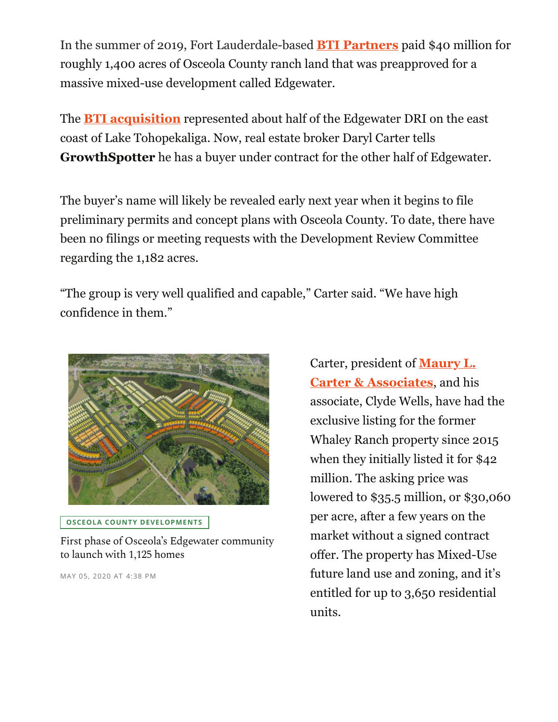In the summer of 2019, Fort Lauderdale-based **BTI Partners** paid \$40 million for roughly 1,400 acres of Osceola County ranch land that was preapproved for a massive mixed-use development called Edgewater.

The **BTI acquisition** represented about half of the Edgewater DRI on the east coast of Lake Tohopekaliga. Now, real estate broker Daryl Carter tells **GrowthSpotter** he has a buyer under contract for the other half of Edgewater.

The buyer's name will likely be revealed early next year when it begins to file preliminary permits and concept plans with Osceola County. To date, there have been no filings or meeting requests with the Development Review Committee regarding the 1,182 acres.

"The group is very well qualified and capable," Carter said. "We have high confidence in them."



**OSCEOLA COUNTY DEVELOPMENTS**

First phase of Osceola's Edgewater community to launch with 1,125 homes

MAY 05, 2020 AT 4:38 PM

Carter, president of **Maury L. Carter & Associates**, and his associate, Clyde Wells, have had the exclusive listing for the former Whaley Ranch property since 2015 when they initially listed it for \$42 million. The asking price was lowered to \$35.5 million, or \$30,060 per acre, after a few years on the market without a signed contract offer. The property has Mixed-Use future land use and zoning, and it's entitled for up to 3,650 residential units.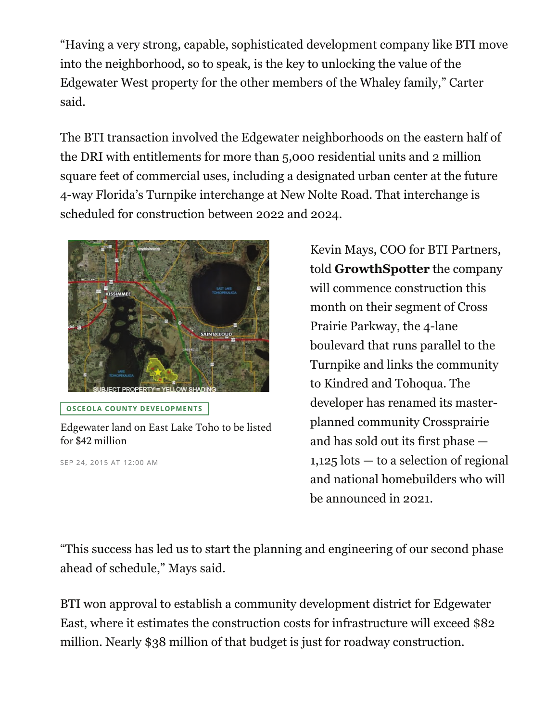"Having a very strong, capable, sophisticated development company like BTI move into the neighborhood, so to speak, is the key to unlocking the value of the Edgewater West property for the other members of the Whaley family," Carter said.

The BTI transaction involved the Edgewater neighborhoods on the eastern half of the DRI with entitlements for more than 5,000 residential units and 2 million square feet of commercial uses, including a designated urban center at the future 4-way Florida's Turnpike interchange at New Nolte Road. That interchange is scheduled for construction between 2022 and 2024.



**OSCEOLA COUNTY DEVELOPMENTS**

## Edgewater land on East Lake Toho to be listed for \$42 million

SEP 24, 2015 AT 12:00 AM

Kevin Mays, COO for BTI Partners, told **GrowthSpotter** the company will commence construction this month on their segment of Cross Prairie Parkway, the 4-lane boulevard that runs parallel to the Turnpike and links the community to Kindred and Tohoqua. The developer has renamed its masterplanned community Crossprairie and has sold out its first phase — 1,125 lots — to a selection of regional and national homebuilders who will be announced in 2021.

"This success has led us to start the planning and engineering of our second phase ahead of schedule," Mays said.

BTI won approval to establish a community development district for Edgewater East, where it estimates the construction costs for infrastructure will exceed \$82 million. Nearly \$38 million of that budget is just for roadway construction.